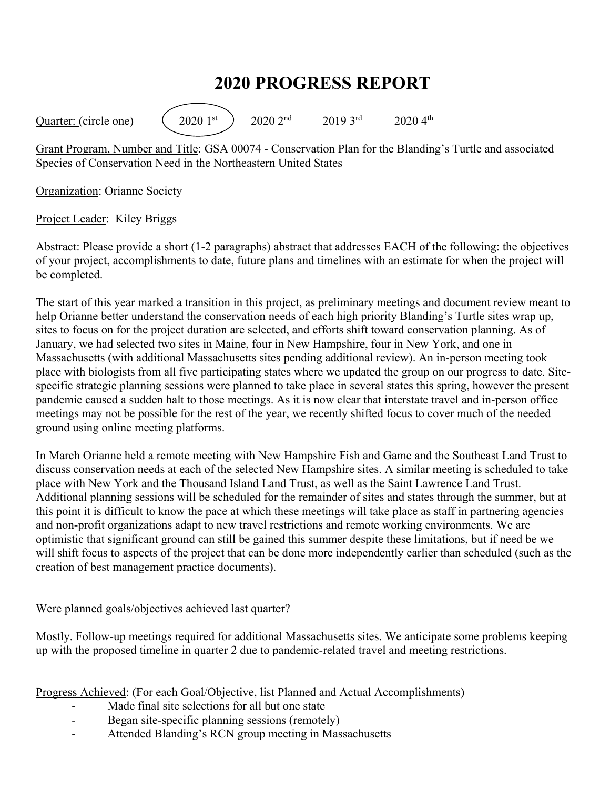## **2020 PROGRESS REPORT**

Quarter: (circle one)  $(2020 \text{ 1st})$   $2020 \text{ 2nd}$   $2019 \text{ 3rd}$   $2020 \text{ 4th}$ 

Grant Program, Number and Title: GSA 00074 - Conservation Plan for the Blanding's Turtle and associated Species of Conservation Need in the Northeastern United States

Organization: Orianne Society

Project Leader: Kiley Briggs

Abstract: Please provide a short (1-2 paragraphs) abstract that addresses EACH of the following: the objectives of your project, accomplishments to date, future plans and timelines with an estimate for when the project will be completed.

The start of this year marked a transition in this project, as preliminary meetings and document review meant to help Orianne better understand the conservation needs of each high priority Blanding's Turtle sites wrap up, sites to focus on for the project duration are selected, and efforts shift toward conservation planning. As of January, we had selected two sites in Maine, four in New Hampshire, four in New York, and one in Massachusetts (with additional Massachusetts sites pending additional review). An in-person meeting took place with biologists from all five participating states where we updated the group on our progress to date. Sitespecific strategic planning sessions were planned to take place in several states this spring, however the present pandemic caused a sudden halt to those meetings. As it is now clear that interstate travel and in-person office meetings may not be possible for the rest of the year, we recently shifted focus to cover much of the needed ground using online meeting platforms.

In March Orianne held a remote meeting with New Hampshire Fish and Game and the Southeast Land Trust to discuss conservation needs at each of the selected New Hampshire sites. A similar meeting is scheduled to take place with New York and the Thousand Island Land Trust, as well as the Saint Lawrence Land Trust. Additional planning sessions will be scheduled for the remainder of sites and states through the summer, but at this point it is difficult to know the pace at which these meetings will take place as staff in partnering agencies and non-profit organizations adapt to new travel restrictions and remote working environments. We are optimistic that significant ground can still be gained this summer despite these limitations, but if need be we will shift focus to aspects of the project that can be done more independently earlier than scheduled (such as the creation of best management practice documents).

## Were planned goals/objectives achieved last quarter?

Mostly. Follow-up meetings required for additional Massachusetts sites. We anticipate some problems keeping up with the proposed timeline in quarter 2 due to pandemic-related travel and meeting restrictions.

Progress Achieved: (For each Goal/Objective, list Planned and Actual Accomplishments)

- Made final site selections for all but one state
- Began site-specific planning sessions (remotely)
- Attended Blanding's RCN group meeting in Massachusetts